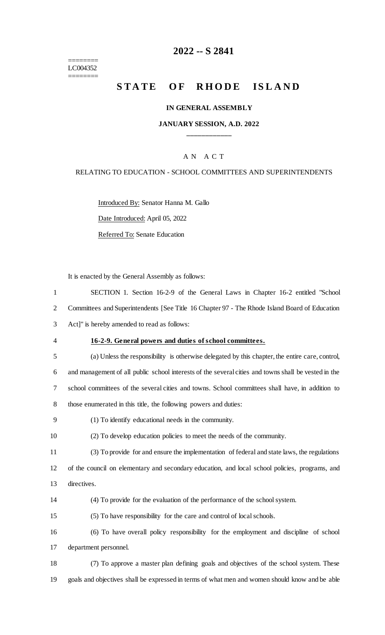======== LC004352  $=$ 

## **2022 -- S 2841**

# STATE OF RHODE ISLAND

#### **IN GENERAL ASSEMBLY**

#### **JANUARY SESSION, A.D. 2022 \_\_\_\_\_\_\_\_\_\_\_\_**

#### A N A C T

#### RELATING TO EDUCATION - SCHOOL COMMITTEES AND SUPERINTENDENTS

Introduced By: Senator Hanna M. Gallo Date Introduced: April 05, 2022

Referred To: Senate Education

It is enacted by the General Assembly as follows:

| $\mathbf{1}$   | SECTION 1. Section 16-2-9 of the General Laws in Chapter 16-2 entitled "School"                      |
|----------------|------------------------------------------------------------------------------------------------------|
| $\overline{2}$ | Committees and Superintendents [See Title 16 Chapter 97 - The Rhode Island Board of Education        |
| 3              | Act]" is hereby amended to read as follows:                                                          |
| 4              | 16-2-9. General powers and duties of school committees.                                              |
| 5              | (a) Unless the responsibility is otherwise delegated by this chapter, the entire care, control,      |
| 6              | and management of all public school interests of the several cities and towns shall be vested in the |
| 7              | school committees of the several cities and towns. School committees shall have, in addition to      |
| 8              | those enumerated in this title, the following powers and duties:                                     |
| 9              | (1) To identify educational needs in the community.                                                  |
| 10             | (2) To develop education policies to meet the needs of the community.                                |
| 11             | (3) To provide for and ensure the implementation of federal and state laws, the regulations          |
| 12             | of the council on elementary and secondary education, and local school policies, programs, and       |
| 13             | directives.                                                                                          |
| 14             | (4) To provide for the evaluation of the performance of the school system.                           |
| 15             | (5) To have responsibility for the care and control of local schools.                                |
| 16             | (6) To have overall policy responsibility for the employment and discipline of school                |
| 17             | department personnel.                                                                                |
| 18             | (7) To approve a master plan defining goals and objectives of the school system. These               |
| 19             | goals and objectives shall be expressed in terms of what men and women should know and be able       |
|                |                                                                                                      |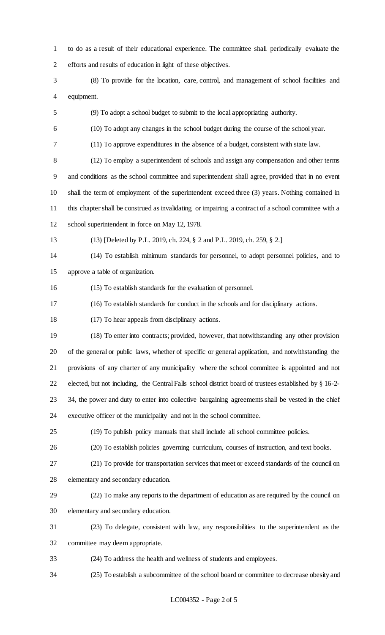to do as a result of their educational experience. The committee shall periodically evaluate the efforts and results of education in light of these objectives.

- (8) To provide for the location, care, control, and management of school facilities and equipment.
- (9) To adopt a school budget to submit to the local appropriating authority.
- (10) To adopt any changes in the school budget during the course of the school year.
- (11) To approve expenditures in the absence of a budget, consistent with state law.

 (12) To employ a superintendent of schools and assign any compensation and other terms and conditions as the school committee and superintendent shall agree, provided that in no event shall the term of employment of the superintendent exceed three (3) years. Nothing contained in this chapter shall be construed as invalidating or impairing a contract of a school committee with a school superintendent in force on May 12, 1978.

(13) [Deleted by P.L. 2019, ch. 224, § 2 and P.L. 2019, ch. 259, § 2.]

 (14) To establish minimum standards for personnel, to adopt personnel policies, and to approve a table of organization.

- (15) To establish standards for the evaluation of personnel.
- (16) To establish standards for conduct in the schools and for disciplinary actions.

(17) To hear appeals from disciplinary actions.

 (18) To enter into contracts; provided, however, that notwithstanding any other provision of the general or public laws, whether of specific or general application, and notwithstanding the provisions of any charter of any municipality where the school committee is appointed and not elected, but not including, the Central Falls school district board of trustees established by § 16-2- 34, the power and duty to enter into collective bargaining agreements shall be vested in the chief executive officer of the municipality and not in the school committee.

- (19) To publish policy manuals that shall include all school committee policies.
	-
- 

(20) To establish policies governing curriculum, courses of instruction, and text books.

- (21) To provide for transportation services that meet or exceed standards of the council on elementary and secondary education.
- (22) To make any reports to the department of education as are required by the council on elementary and secondary education.
- (23) To delegate, consistent with law, any responsibilities to the superintendent as the committee may deem appropriate.
- (24) To address the health and wellness of students and employees.
- (25) To establish a subcommittee of the school board or committee to decrease obesity and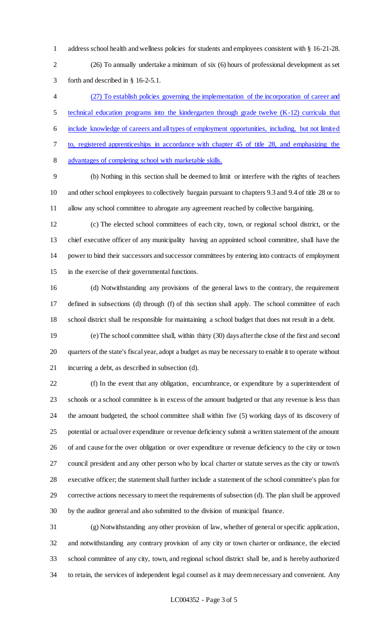address school health and wellness policies for students and employees consistent with § 16-21-28.

 (26) To annually undertake a minimum of six (6) hours of professional development as set forth and described in § 16-2-5.1.

 (27) To establish policies governing the implementation of the incorporation of career and technical education programs into the kindergarten through grade twelve (K-12) curricula that include knowledge of careers and all types of employment opportunities, including, but not limited to, registered apprenticeships in accordance with chapter 45 of title 28, and emphasizing the advantages of completing school with marketable skills.

 (b) Nothing in this section shall be deemed to limit or interfere with the rights of teachers and other school employees to collectively bargain pursuant to chapters 9.3 and 9.4 of title 28 or to allow any school committee to abrogate any agreement reached by collective bargaining.

 (c) The elected school committees of each city, town, or regional school district, or the chief executive officer of any municipality having an appointed school committee, shall have the power to bind their successors and successor committees by entering into contracts of employment in the exercise of their governmental functions.

 (d) Notwithstanding any provisions of the general laws to the contrary, the requirement defined in subsections (d) through (f) of this section shall apply. The school committee of each school district shall be responsible for maintaining a school budget that does not result in a debt.

 (e) The school committee shall, within thirty (30) days after the close of the first and second quarters of the state's fiscal year, adopt a budget as may be necessary to enable it to operate without incurring a debt, as described in subsection (d).

 (f) In the event that any obligation, encumbrance, or expenditure by a superintendent of schools or a school committee is in excess of the amount budgeted or that any revenue is less than the amount budgeted, the school committee shall within five (5) working days of its discovery of potential or actual over expenditure or revenue deficiency submit a written statement of the amount of and cause for the over obligation or over expenditure or revenue deficiency to the city or town council president and any other person who by local charter or statute serves as the city or town's executive officer; the statement shall further include a statement of the school committee's plan for corrective actions necessary to meet the requirements of subsection (d). The plan shall be approved by the auditor general and also submitted to the division of municipal finance.

 (g) Notwithstanding any other provision of law, whether of general or specific application, and notwithstanding any contrary provision of any city or town charter or ordinance, the elected school committee of any city, town, and regional school district shall be, and is hereby authorized to retain, the services of independent legal counsel as it may deem necessary and convenient. Any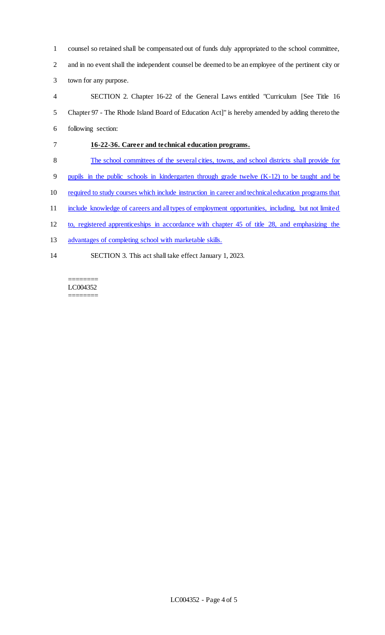counsel so retained shall be compensated out of funds duly appropriated to the school committee, and in no event shall the independent counsel be deemed to be an employee of the pertinent city or town for any purpose.

 SECTION 2. Chapter 16-22 of the General Laws entitled "Curriculum [See Title 16 Chapter 97 - The Rhode Island Board of Education Act]" is hereby amended by adding thereto the following section:

## **16-22-36. Career and technical education programs.**

The school committees of the several cities, towns, and school districts shall provide for

pupils in the public schools in kindergarten through grade twelve (K-12) to be taught and be

- required to study courses which include instruction in career and technical education programs that
- 11 include knowledge of careers and all types of employment opportunities, including, but not limited
- to, registered apprenticeships in accordance with chapter 45 of title 28, and emphasizing the
- advantages of completing school with marketable skills.
- SECTION 3. This act shall take effect January 1, 2023.

#### ======== LC004352

========